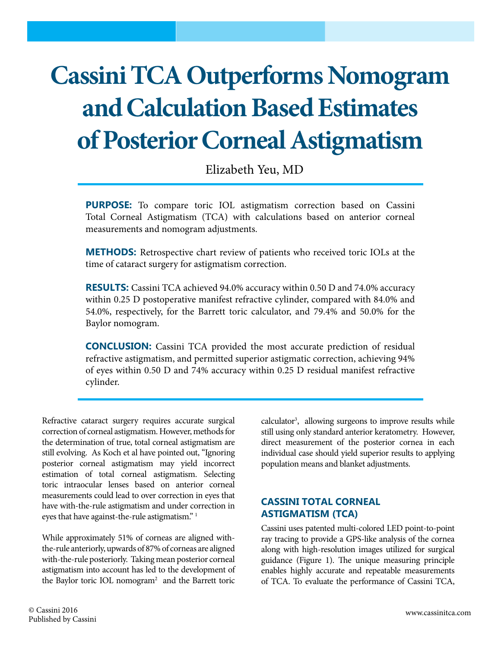# **Cassini TCA Outperforms Nomogram and Calculation Based Estimates of Posterior Corneal Astigmatism**

Elizabeth Yeu, MD

**PURPOSE:** To compare toric IOL astigmatism correction based on Cassini Total Corneal Astigmatism (TCA) with calculations based on anterior corneal measurements and nomogram adjustments.

**METHODS:** Retrospective chart review of patients who received toric IOLs at the time of cataract surgery for astigmatism correction.

**RESULTS:** Cassini TCA achieved 94.0% accuracy within 0.50 D and 74.0% accuracy within 0.25 D postoperative manifest refractive cylinder, compared with 84.0% and 54.0%, respectively, for the Barrett toric calculator, and 79.4% and 50.0% for the Baylor nomogram.

**CONCLUSION:** Cassini TCA provided the most accurate prediction of residual refractive astigmatism, and permitted superior astigmatic correction, achieving 94% of eyes within 0.50 D and 74% accuracy within 0.25 D residual manifest refractive cylinder.

Refractive cataract surgery requires accurate surgical correction of corneal astigmatism. However, methods for the determination of true, total corneal astigmatism are still evolving. As Koch et al have pointed out, "Ignoring posterior corneal astigmatism may yield incorrect estimation of total corneal astigmatism. Selecting toric intraocular lenses based on anterior corneal measurements could lead to over correction in eyes that have with-the-rule astigmatism and under correction in eyes that have against-the-rule astigmatism."<sup>1</sup>

While approximately 51% of corneas are aligned withthe-rule anteriorly, upwards of 87% of corneas are aligned with-the-rule posteriorly. Taking mean posterior corneal astigmatism into account has led to the development of the Baylor toric IOL nomogram<sup>2</sup> and the Barrett toric

calculator<sup>3</sup>, allowing surgeons to improve results while still using only standard anterior keratometry. However, direct measurement of the posterior cornea in each individual case should yield superior results to applying population means and blanket adjustments.

## **CASSINI TOTAL CORNEAL ASTIGMATISM (TCA)**

Cassini uses patented multi-colored LED point-to-point ray tracing to provide a GPS-like analysis of the cornea along with high-resolution images utilized for surgical guidance (Figure 1). The unique measuring principle enables highly accurate and repeatable measurements of TCA. To evaluate the performance of Cassini TCA,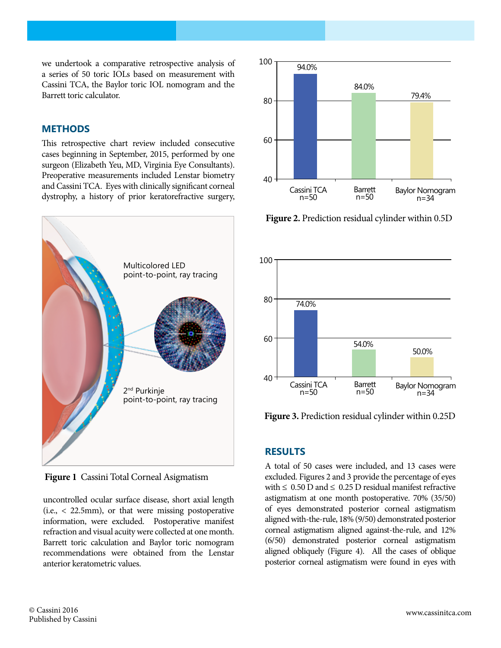we undertook a comparative retrospective analysis of a series of 50 toric IOLs based on measurement with Cassini TCA, the Baylor toric IOL nomogram and the Barrett toric calculator.

#### **METHODS**

This retrospective chart review included consecutive cases beginning in September, 2015, performed by one surgeon (Elizabeth Yeu, MD, Virginia Eye Consultants). Preoperative measurements included Lenstar biometry and Cassini TCA. Eyes with clinically significant corneal dystrophy, a history of prior keratorefractive surgery,



**Figure 1** Cassini Total Corneal Asigmatism

uncontrolled ocular surface disease, short axial length (i.e., < 22.5mm), or that were missing postoperative information, were excluded. Postoperative manifest refraction and visual acuity were collected at one month. Barrett toric calculation and Baylor toric nomogram recommendations were obtained from the Lenstar anterior keratometric values.



**Figure 2.** Prediction residual cylinder within 0.5D



**Figure 3.** Prediction residual cylinder within 0.25D

#### **RESULTS**

A total of 50 cases were included, and 13 cases were excluded. Figures 2 and 3 provide the percentage of eyes with  $\leq 0.50$  D and  $\leq 0.25$  D residual manifest refractive astigmatism at one month postoperative. 70% (35/50) of eyes demonstrated posterior corneal astigmatism aligned with-the-rule, 18% (9/50) demonstrated posterior corneal astigmatism aligned against-the-rule, and 12% (6/50) demonstrated posterior corneal astigmatism aligned obliquely (Figure 4). All the cases of oblique posterior corneal astigmatism were found in eyes with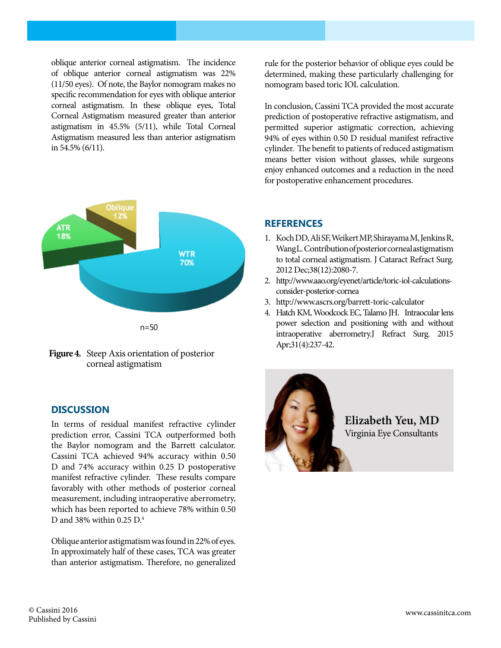oblique anterior corneal astigmatism. The incidence of oblique anterior corneal astigmatism was 22% (11/50 eyes). Of note, the Baylor nomogram makes no specific recommendation for eyes with oblique anterior corneal astigmatism. In these oblique eyes, Total Corneal Astigmatism measured greater than anterior astigmatism in 45.5% (5/11), while Total Corneal Astigmatism measured less than anterior astigmatism in 54.5% (6/11).



**Figure 4.** Steep Axis orientation of posterior corneal astigmatism

### **DISCUSSION**

In terms of residual manifest refractive cylinder prediction error, Cassini TCA outperformed both the Baylor nomogram and the Barrett calculator. Cassini TCA achieved 94% accuracy within 0.50 D and 74% accuracy within 0.25 D postoperative manifest refractive cylinder. These results compare favorably with other methods of posterior corneal measurement, including intraoperative aberrometry, which has been reported to achieve 78% within 0.50 D and 38% within 0.25 D.4

Oblique anterior astigmatism was found in 22% of eyes. In approximately half of these cases, TCA was greater than anterior astigmatism. Therefore, no generalized rule for the posterior behavior of oblique eyes could be determined, making these particularly challenging for nomogram based toric IOL calculation.

In conclusion, Cassini TCA provided the most accurate prediction of postoperative refractive astigmatism, and permitted superior astigmatic correction, achieving 94% of eyes within 0.50 D residual manifest refractive cylinder. The benefit to patients of reduced astigmatism means better vision without glasses, while surgeons enjoy enhanced outcomes and a reduction in the need for postoperative enhancement procedures.

### **REFERENCES**

- 1. Koch DD, Ali SF, Weikert MP, Shirayama M, Jenkins R, Wang L. Contribution of posterior corneal astigmatism to total corneal astigmatism. J Cataract Refract Surg. 2012 Dec;38(12):2080-7.
- 2. http://www.aao.org/eyenet/article/toric-iol-calculationsconsider-posterior-cornea
- 3. http://www.ascrs.org/barrett-toric-calculator
- 4. Hatch KM, Woodcock EC, Talamo JH. Intraocular lens power selection and positioning with and without intraoperative aberrometry.J Refract Surg. 2015 Apr;31(4):237-42.



**Elizabeth Yeu, MD** Virginia Eye Consultants